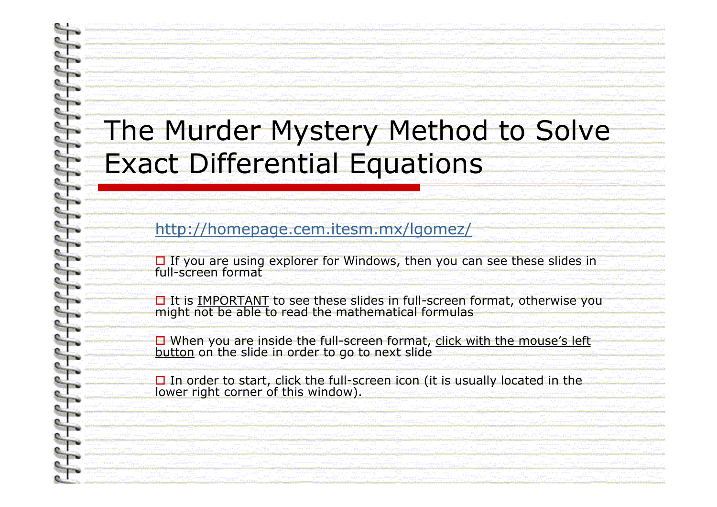## The Murder Mystery Method to Solve Exact Differential Equations

http://homepage.cem.itesm.mx/lgomez/

□ If you are using explorer for Windows, then you can see these slides in<br>full-screen format

It is IMPORTANT to see these slides in full-screen format, otherwise you might not be able to read the mathematical formulas

**O** When you are inside the full-screen format, click with the mouse's left button on the slide in order to go to next slide button on the slide in order to go to next slide

**O** In order to start, click the full-screen icon (it is usually located in the lower right corner of this window).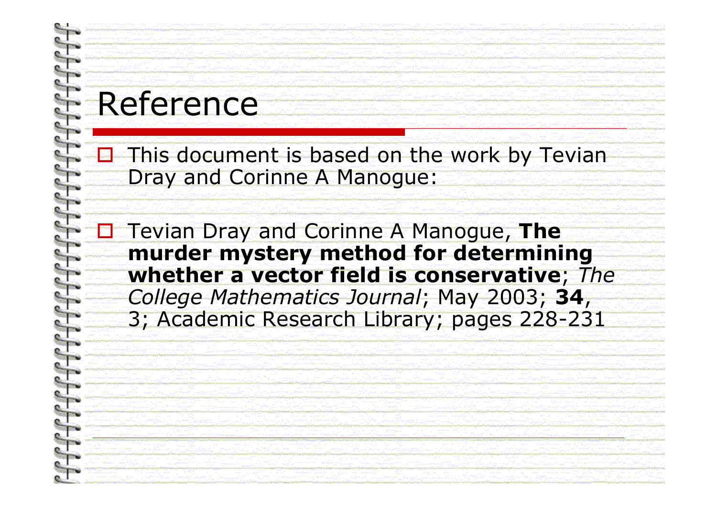# Reference

alay<br>M

 $\frac{1}{2}$ This document is based on the work by Tevian Dray and Corinne A Manogue:

 Tevian Dray and Corinne A Manogue, **The murder mystery method for determining whether a vector field is conservative**; *The College Mathematics Journal*; May 2003; **34**, 3; Academic Research Library; pages 228-231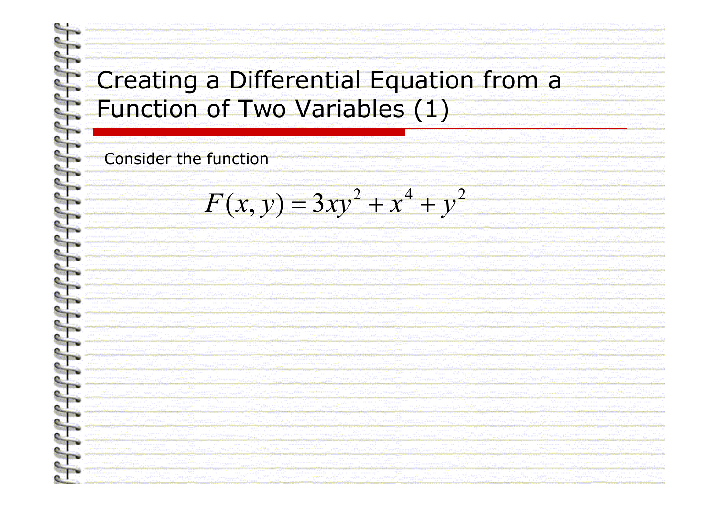#### Creating a Differential Equation from a Function of Two Variables (1)

#### **Consider the function**

 $F(x, y) = 3xy^{2} + x^{4} + y^{2}$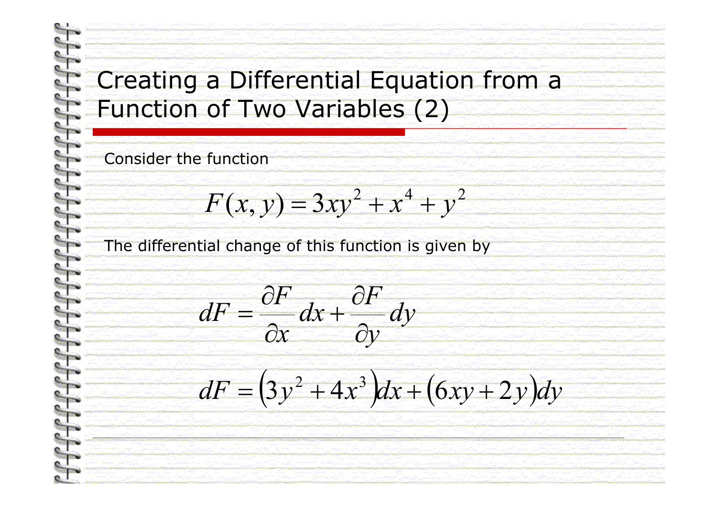#### Creating a Differential Equation from <sup>a</sup> Function of Two Variables (2)

Consider the function

$$
F(x, y) = 3xy^2 + x^4 + y^2
$$

The differential change of this function is given by

$$
dF = \frac{\partial F}{\partial x} dx + \frac{\partial F}{\partial y} dy
$$

*dF* $F = (3y^2 + 4x^3)$ *x* $3y^2 + 4x^3 dx + (6xy + 2y)dy$  $= (3y^2 + 4x^3)dx + (6xy +$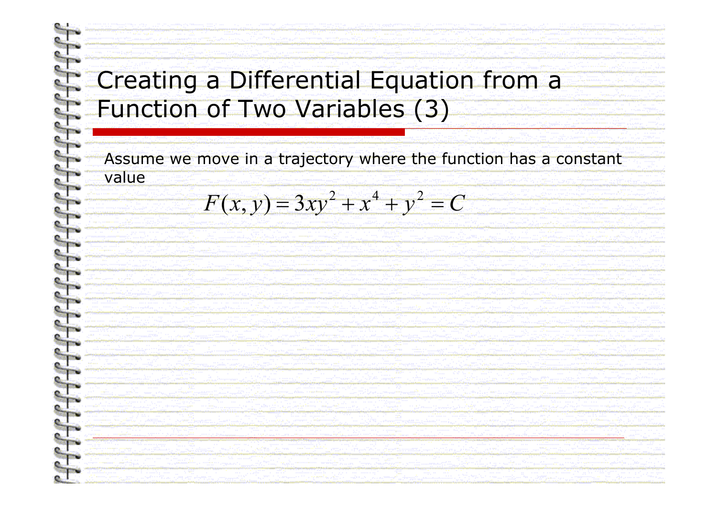#### Creating a Differential Equation from <sup>a</sup> Function of Two Variables (3)

Assume we move in a trajectory where the function has a constant value

 $F(x, y) = 3xy^{2} + x^{4} + y^{2} = C$  $(x, y) = 3xy^{2} + x^{4} + y^{2}$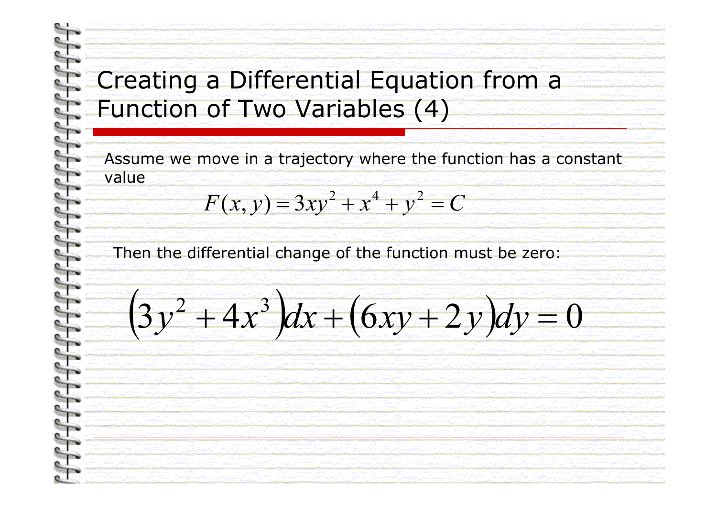#### Creating a Differential Equation from <sup>a</sup> Function of Two Variables (4)

Assume we move in a trajectory where the function has a constant value

$$
F(x, y) = 3xy^2 + x^4 + y^2 = C
$$

Then the differential change of the function must be zero:

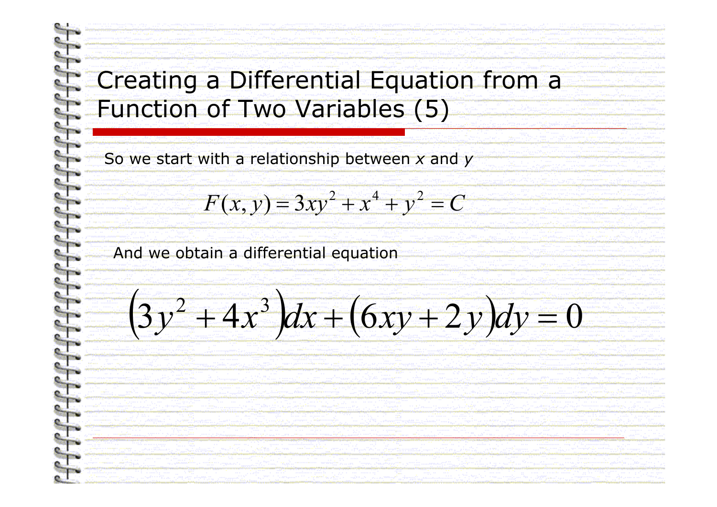$\Big(3$ 

*y*

#### Creating a Differential Equation from <sup>a</sup> Function of Two Variables (5)

So we start with a relationship between *x* and *y*

)<br>)<br>)

$$
F(x, y) = 3xy^2 + x^4 + y^2 = C
$$

 $\Big($ 

 $x^2 + 4x^3 dx + (6xy + 2y)dy$ 

 $6xy+2$ 

)<br>)<br>)

 $\pmb{0}$ 

 $\sim$ 

And we obtain a differential equation

4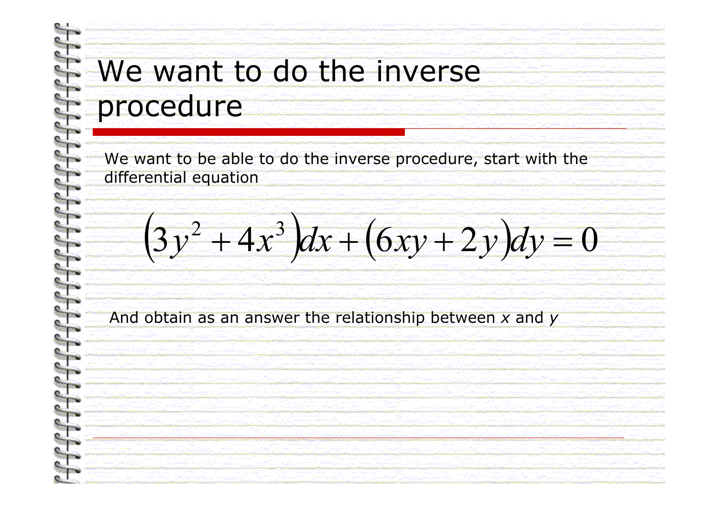### We want to do the inverse procedure

We want to be able to do the inverse procedure, start with the differential equation

 $\Big(3$ 4 )<br>)  $\Big($  $6xy+2$ )<br>)<br>)  $x^2 + 4x^3 dx + (6xy + 2y)dy$ *y* =

 $\pmb{0}$ 

And obtain as an answer the relationship between *x* and *y*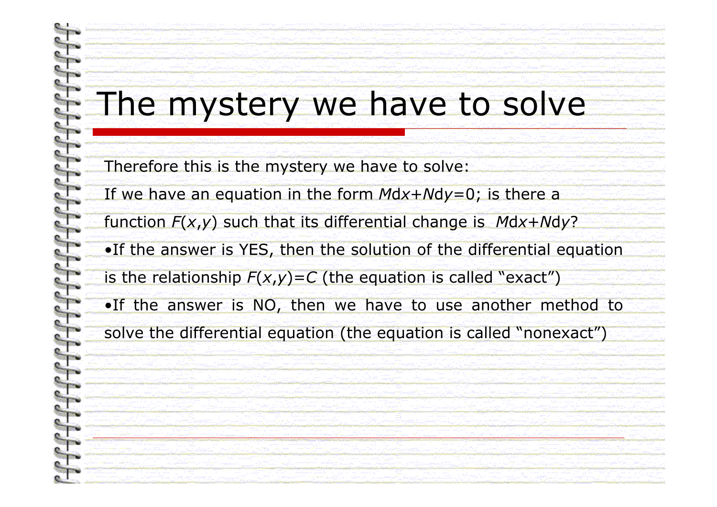## The mystery we have to solve

Therefore this is the mystery we have to solve:

If we have an equation in the form  $M$ dx+ $N$ dy=0; is there a

function *F*( *<sup>x</sup>*,*y*) such that its differential change is *M* d *x* + *N* d *y* ? •If the answer is YES, then the solution of the differential equation

is the relationship *F*( *<sup>x</sup>*,*y*)=*C* (the equation is called "exact")

•If the answer is NO, then we have to use another method to solve the differential equation (the equation is called "nonexact")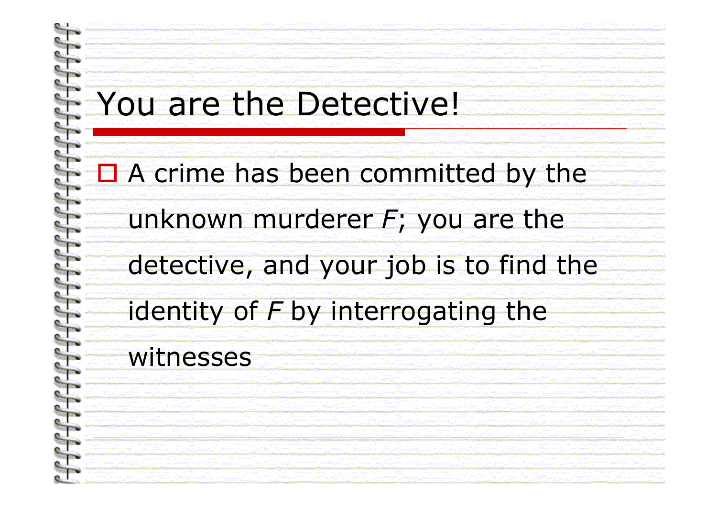# You are the Detective!

### ■ A crime has been committed by the

## unknown murderer *F*; you are the

# detective, and your job is to find the

## identity of *F* by interrogating the

#### witnesses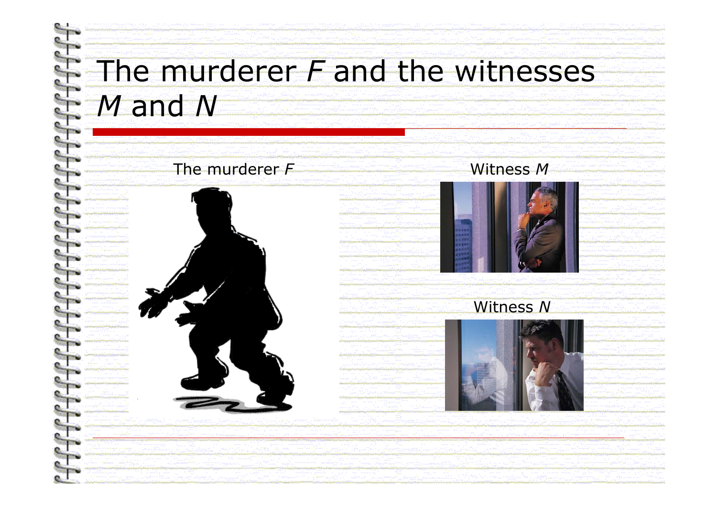### The murderer *F* and the witnesses *M* and *N*

#### The murderer *F*



#### Witness *M*



#### Witness *N*

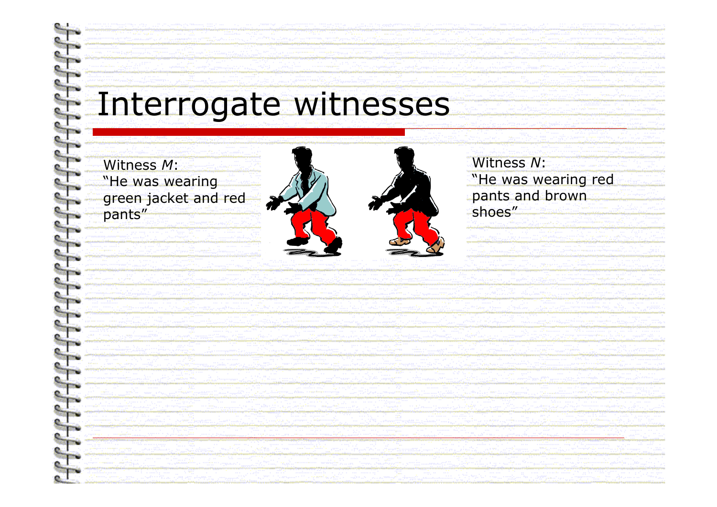# Interrogate witnesses

Witness M: "He was wearing green jacket and red pants"

Witness N: "He was wearing red pants and brown shoes"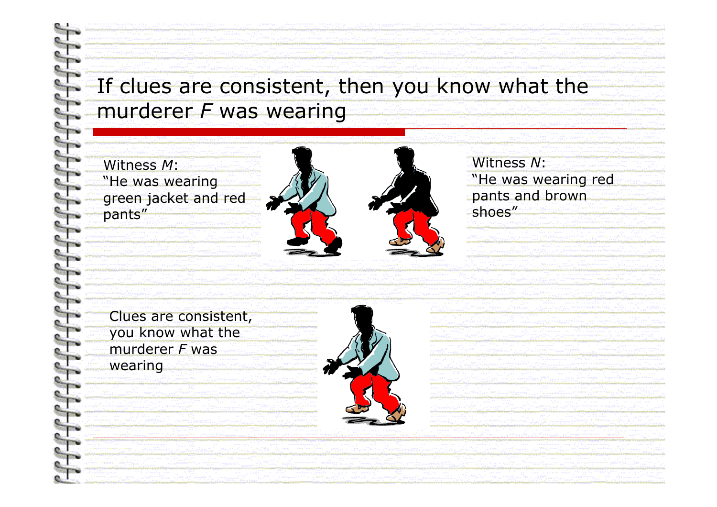#### If clues are consistent, then you know what the murderer *F* was wearing

Witness*M*:"He was wearing green jacket and red pants"



Clues are consistent, you know what the murderer *F* waswearing



Witness*N*:"He was wearing red pants and brown shoes"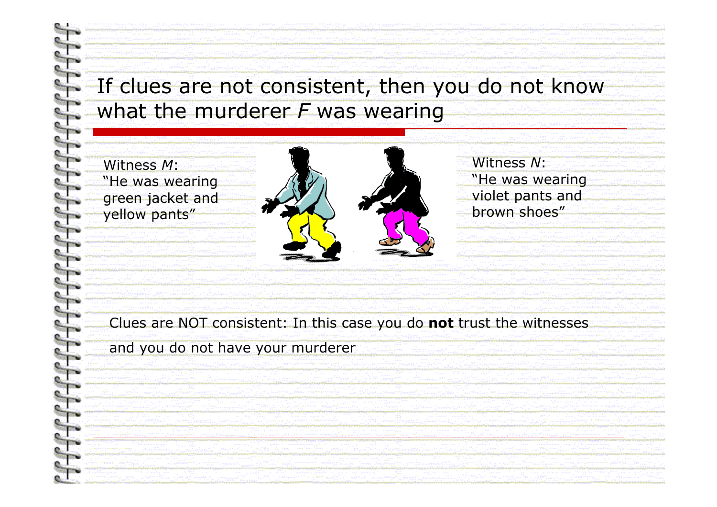#### If clues are not consistent, then you do not know what the murderer *F* was wearing

Witness*M*:"He was wearing green jacket and yellow pants"



Witness*N*:"He was wearing violet pants and brown shoes"

Clues are NOT consistent: In this case you do **not** trust the witnesses

and you do not have your murderer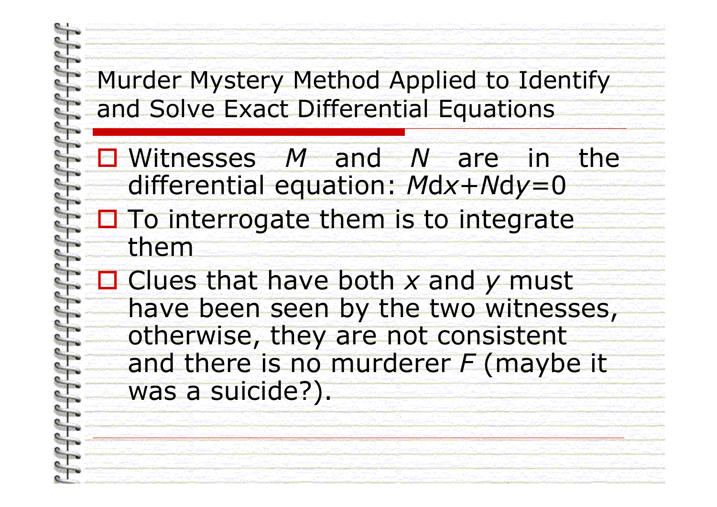#### Murder Mystery Method Applied to Identify and Solve Exact Differential Equations

- Witnesses *M* and *N* are in the differential equation: *M* d *x* + *N* d *y*=0  $\square$  To interrogate them is to integrate them
- Clues that have both x and y must have been seen by the two witnesses, otherwise, they are not consistent and there is no murderer *F* (maybe it was a suicide?).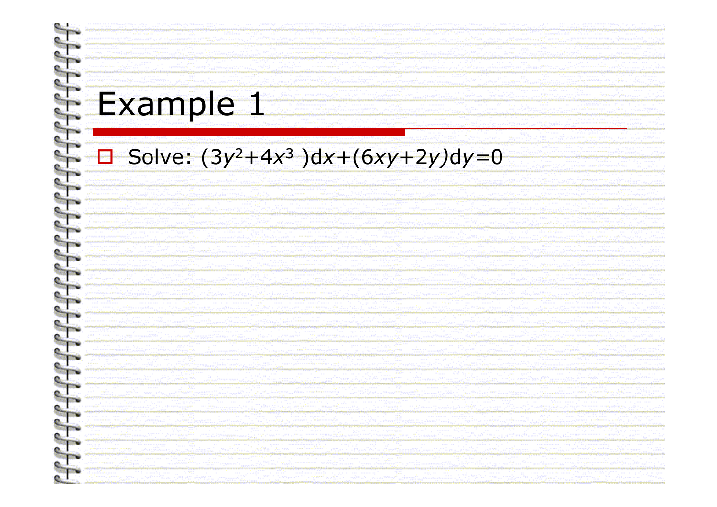# Example 1

#### Solve:  $(3y^2+4x^3)dx+(6xy+2y)dy=0$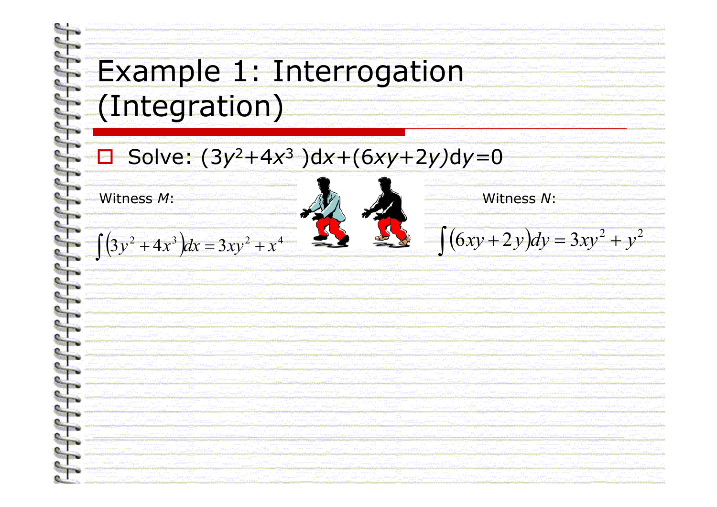## Example 1: Interrogation (Integration)

#### $\frac{1}{2}$ ■ Solve: (3y<sup>2</sup>+4x 3 )d*x+*(6*xy*+2*y)* d*y=* 0

Witness M:

 $\left(3y^2 + 4x^3\right)dx = 3xy^2 + x^4$ )<br>) ∫









 $\int (6xy+2y)$  $+ 2y$   $dy = 3xy^2 +$  $(6xy + 2y)dy = 3xy^2 + y^2$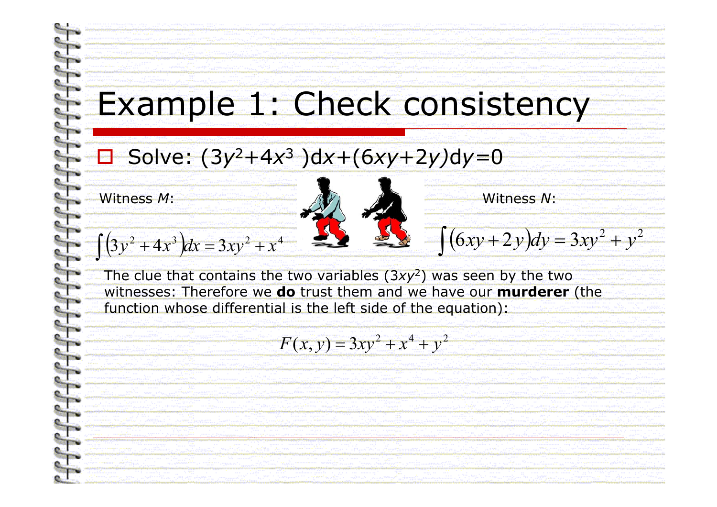# Example 1: Check consistency

#### ■ Solve: (3y<sup>2</sup>+4x 3 )d*x+*(6*xy*+2*y)* d*y=* 0

Witness M:



 $\left(3y^2 + 4x^3\right)dx = 3xy^2 + x^4$ )<br>) ∫



The clue that contains the two variables (3*xy* 2) was seen by the two witnesses: Therefore we **do** trust them and we have our **murderer** (the function whose differential is the left side of the equation):

$$
F(x, y) = 3xy^2 + x^4 + y^2
$$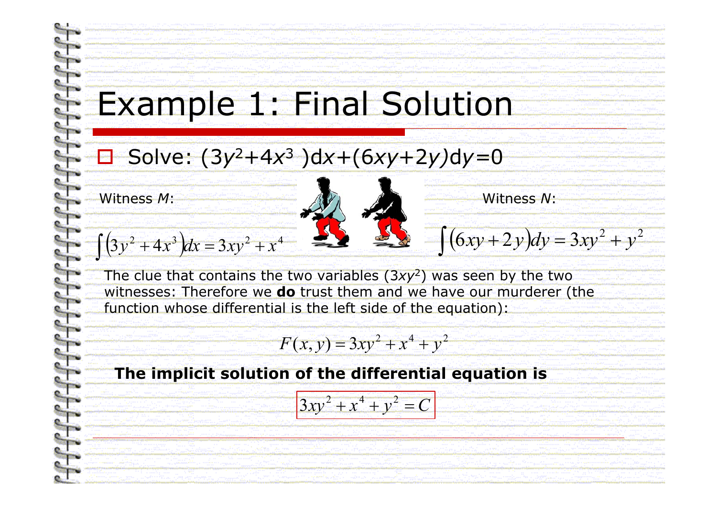# Example 1: Final Solution

#### $\frac{1}{2}$ ■ Solve: (3y<sup>2</sup>+4x 3 )d*x+*(6*xy*+2*y)* d*y=* 0

Witness M:



 $\left(3y^2 + 4x^3\right)dx = 3xy^2 + x^4$ )<br>) ∫



The clue that contains the two variables (3*xy* 2) was seen by the two witnesses: Therefore we **do** trust them and we have our murderer (the function whose differential is the left side of the equation):

$$
F(x, y) = 3xy^2 + x^4 + y^2
$$

#### **The implicit solution of the differential equation is**

$$
3xy^2 + x^4 + y^2 = C
$$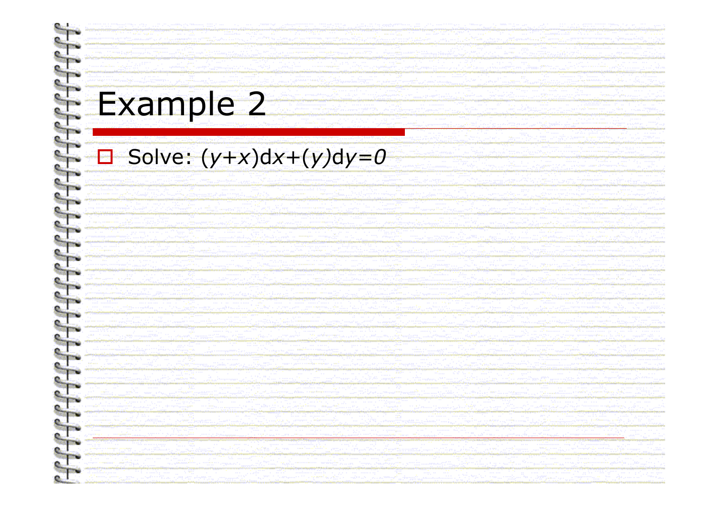# Example 2

#### $\Box$  Solve:  $(y+x)dx+(y)dy=0$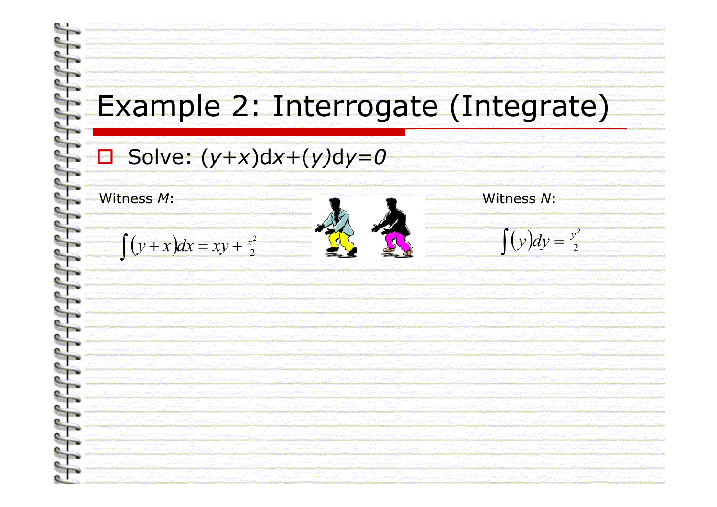## Example 2: Interrogate (Integrate)

#### **□ Solve: (***y***+***x***)d***x***+(***y***)d***y=0*

Witness

 $\left(y+x\right)dx = xy + \frac{x^2}{2}$  $y + x dx = xy + \frac{x^2}{2}$ ∫













 $\big($ ) ∫ =*y dy*

2

2*y*

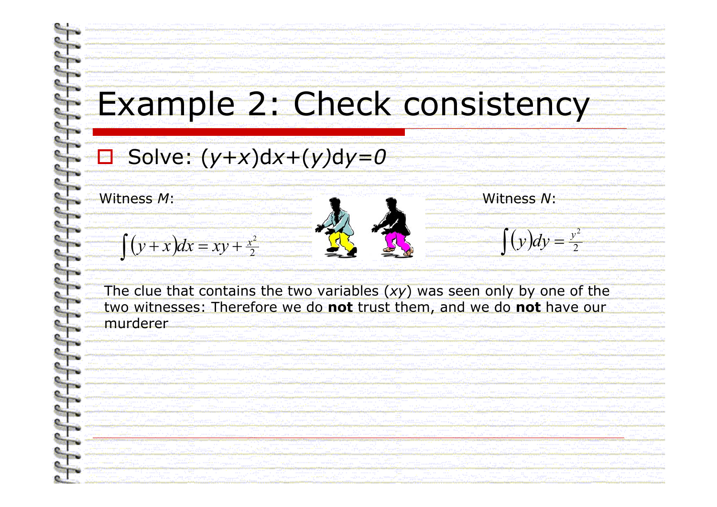# Example 2: Check consistency

### **□ Solve: (***y***+***x***)d***x***+(***y***)d***y=0*

Witness M:

 $\left(y+x\right)dx = xy + \frac{x^2}{2}$  $y + x dx = xy + \frac{x^2}{2}$ ∫



 $\big($ ∫

) =22 *y y dy*

The clue that contains the two variables (*xy*) was seen only by one of the two witnesses: Therefore we do **not** trust them, and we do **not** have our murderer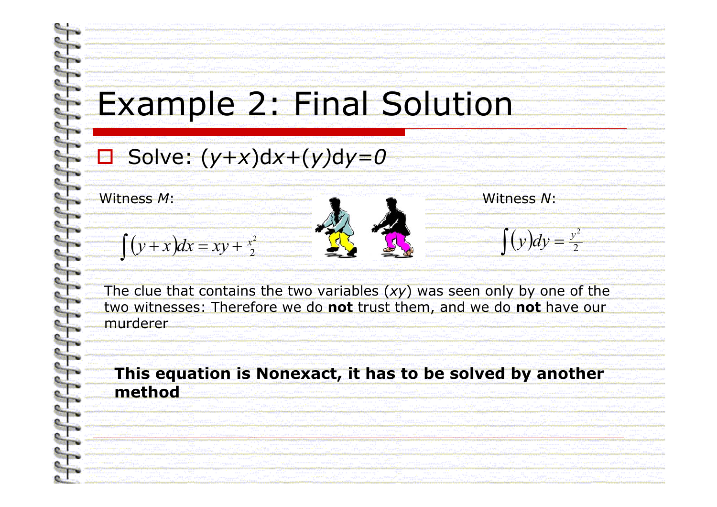# Example 2: Final Solution

### **□ Solve: (***y***+***x***)d***x***+(***y***)d***y=0*

Witness M:

 $\left(y+x\right)dx = xy + \frac{x^2}{2}$  $y + x dx = xy + \frac{x^2}{2}$ ∫



 $\big($ ) ∫ =*y dy*

2

2*y*

The clue that contains the two variables (*xy*) was seen only by one of the two witnesses: Therefore we do **not** trust them, and we do **not** have our murderer

#### **This equation is Nonexact, it has to be solved by another method**